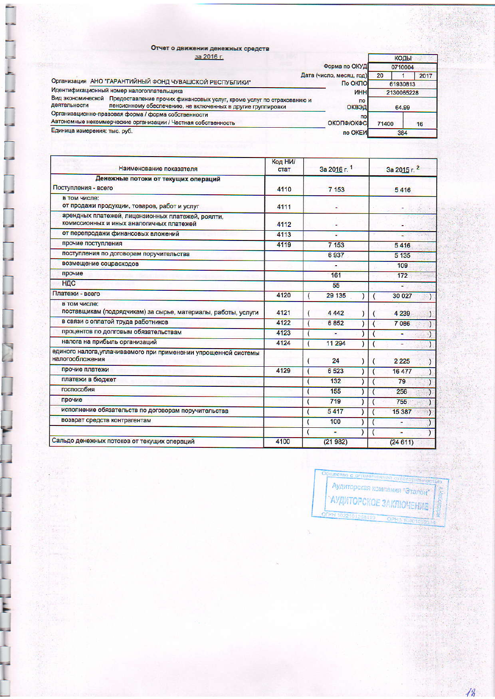|                              | Отчет о движении денежных средств                                                                                                                     |                          |       |            |      |  |
|------------------------------|-------------------------------------------------------------------------------------------------------------------------------------------------------|--------------------------|-------|------------|------|--|
|                              | за 2016 г.                                                                                                                                            |                          |       | КОДЫ       |      |  |
|                              |                                                                                                                                                       | Форма по ОКУД            |       | 0710004    |      |  |
|                              |                                                                                                                                                       | Дата (число, месяц, год) | 20    |            | 2017 |  |
|                              | Организация АНО "ГАРАНТИЙНЫЙ ФОНД ЧУВАШСКОЙ РЕСПУБЛИКИ"                                                                                               | По ОКПО                  |       | 61930813   |      |  |
|                              | Идентификационный номер налогоплательщика                                                                                                             | <b>MHH</b>               |       | 2130065228 |      |  |
| деятельности                 | Вид экономической Предоставление прочих финансовых услуг, кроме услуг по страхованию и<br>пенсионному обеспечению, не включенных в другие группировки | n <sub>o</sub><br>ОКВЭД  | 64.99 |            |      |  |
|                              | Организационно-правовая форма / форма собственности                                                                                                   | по                       |       |            |      |  |
|                              | Автономные некоммерческие организации / Частная собственность                                                                                         | ОКОПФ/ОКФС               | 71400 |            | 16   |  |
| Единица измерения: тыс. руб. |                                                                                                                                                       | по ОКЕИ                  |       | 384        |      |  |

| Наименование показателя                                                                       | Код НИ/<br>стат | За 2016 г. 1 | За 2015 г. 2                       |  |  |
|-----------------------------------------------------------------------------------------------|-----------------|--------------|------------------------------------|--|--|
| Денежные потоки от текущих операций                                                           |                 |              |                                    |  |  |
| Поступления - всего                                                                           |                 | 7 1 5 3      | 5416                               |  |  |
| в том числе:                                                                                  |                 |              |                                    |  |  |
| от продажи продукции, товаров, работ и услуг                                                  | 4111            |              |                                    |  |  |
| арендных платежей, лицензионных платежей, роялти,<br>комиссионных и иных аналогичных платежей | 4112            |              |                                    |  |  |
| от перепродажи финансовых вложений                                                            | 4113            | ٠            |                                    |  |  |
| прочие поступления                                                                            | 4119            | 7 153        | 5416                               |  |  |
| поступления по договорам поручительства                                                       |                 | 6937         | 5 1 3 5                            |  |  |
| возмещение соцрасходов                                                                        |                 |              | 109                                |  |  |
| прочие                                                                                        |                 | 161          | 172                                |  |  |
| НДС                                                                                           |                 | 55           | Π                                  |  |  |
| Платежи - всего                                                                               | 4120            | 29 135       | 30 0 27                            |  |  |
| в том числе:<br>поставщикам (подрядчикам) за сырье, материалы, работы, услуги                 | 4121            | 4 4 4 2      | 4 2 3 9                            |  |  |
| в связи с оплатой труда работников                                                            | 4122            | 6852         | 7086                               |  |  |
| процентов по долговым обязательствам                                                          | 4123            | ٠            | ٠                                  |  |  |
| налога на прибыль организаций                                                                 | 4124            | 11 294       |                                    |  |  |
| единого налога, уплачиваемого при применении упрощенной системы<br>налогообложения            |                 | 24           | 2 2 2 5                            |  |  |
| прочие платежи                                                                                | 4129            | 6523         | 16 477                             |  |  |
| платежи в бюджет                                                                              |                 | 132          | 79                                 |  |  |
| госпособия                                                                                    |                 | 155          | 256<br>$\mathcal{L}$               |  |  |
| прочие                                                                                        |                 | 719          | 755<br>Δ                           |  |  |
| исполнение обязательств по договорам поручительства                                           |                 | 5417         | 15 387<br>$\left\{ \cdot \right\}$ |  |  |
| возврат средств контрагентам                                                                  |                 | 100          | ۰                                  |  |  |
|                                                                                               |                 | ٠            | ÷                                  |  |  |
| Сальдо денежных потоков от текущих операций                                                   | 4100            | (21982)      | (24611)                            |  |  |

Ļ.

İ

 $\mathbf{r}$ 

Ļ

ł



 $48$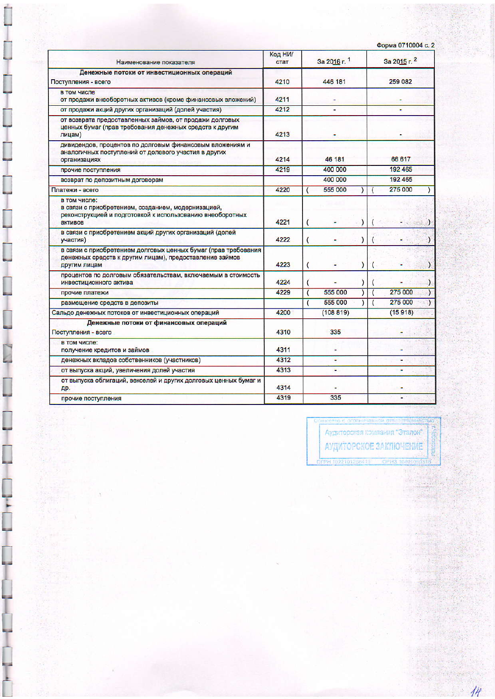| Форма 0710004 с. 2 |  |  |  |
|--------------------|--|--|--|
|--------------------|--|--|--|

| Наименование показателя                                                                                                                    | Код НИ/<br>стат | За 2016 г. 1                              | За 2015 г. 2  |  |  |
|--------------------------------------------------------------------------------------------------------------------------------------------|-----------------|-------------------------------------------|---------------|--|--|
| Денежные потоки от инвестиционных операций<br>Поступления - всего                                                                          | 4210            | 446 181                                   | 259 082       |  |  |
| в том числе<br>от продажи внеоборотных активов (кроме финансовых вложений)                                                                 | 4211            |                                           |               |  |  |
| от продажи акций других организаций (долей участия)                                                                                        | 4212            |                                           |               |  |  |
| от возврата предоставленных займов, от продажи долговых<br>ценных бумаг (прав требования денежных средств к другим<br>лицам)               | 4213            |                                           |               |  |  |
| дивидендов, процентов по долговым финансовым вложениям и<br>аналогичных поступлений от долевого участия в других<br>организациях           | 4214            | 46 181                                    | 66 617        |  |  |
| прочие поступления                                                                                                                         | 4219            | 400 000                                   | 192 465       |  |  |
| возврат по депозитным договорам                                                                                                            |                 | 400 000                                   | 192 465       |  |  |
| Платежи - всего                                                                                                                            | 4220            | 555 000                                   | 275 000       |  |  |
| в том числе:<br>в связи с приобретением, созданием, модернизацией,<br>реконструкцией и подготовкой к использованию внеоборотных<br>активов | 4221            | 1<br>(                                    |               |  |  |
| в связи с приобретением акций других организаций (долей<br>участия)                                                                        | 4222            | $\overline{(}$                            |               |  |  |
| в связи с приобретением долговых ценных бумаг (прав требования<br>денежных средств к другим лицам), предоставление займов<br>другим лицам  | 4223            | $\overline{\mathcal{L}}$<br>$\mathcal{E}$ | $\mathcal{V}$ |  |  |
| процентов по долговым обязательствам, включаемым в стоимость<br>инвестиционного актива                                                     | 4224            |                                           |               |  |  |
| прочие платежи                                                                                                                             | 4229            | 555 000<br>$\overline{(\ }$               | 275 000       |  |  |
| размещение средств в депозиты                                                                                                              |                 | 555 000<br>(                              | 275 000       |  |  |
| Сальдо денежных потоков от инвестиционных операций                                                                                         | 4200            | (108819)                                  | (15918)       |  |  |
| Денежные потоки от финансовых операций<br>Поступления - всего                                                                              | 4310            | 335                                       |               |  |  |
| в том числе:<br>получение кредитов и займов                                                                                                | 4311            |                                           |               |  |  |
| денежных вкладов собственников (участников)                                                                                                | 4312            | ٠                                         |               |  |  |
| от выпуска акций, увеличения долей участия                                                                                                 | 4313            | н                                         |               |  |  |
| от выпуска облигаций, векселей и других долговых ценных бумаг и<br>дp.                                                                     | 4314            |                                           |               |  |  |
| прочие поступления                                                                                                                         | 4319            | 335                                       |               |  |  |

Ļ

Ĩ,

 $\overline{\mathbf{r}}$ 

Ļ

ограниченной отбатоток ir yebar Аудиторская компания "Эталон" АУДИТОРСКОЕ ЗАКЛЮЧЕНИЕ

 $\overline{\mathcal{H}}$